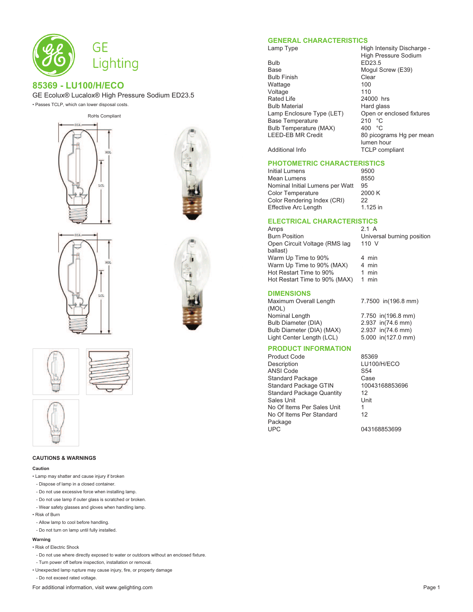

# **85369 - LU100/H/ECO**

GE Ecolux® Lucalox® High Pressure Sodium ED23.5

• Passes TCLP, which can lower disposal costs.









#### **CAUTIONS & WARNINGS**

#### **Caution**

- Lamp may shatter and cause injury if broken
- Dispose of lamp in a closed container.
- Do not use excessive force when installing lamp.
- Do not use lamp if outer glass is scratched or broken.
- Wear safety glasses and gloves when handling lamp.
- Risk of Burn
- Allow lamp to cool before handling.
- Do not turn on lamp until fully installed.

#### **Warning**

- Risk of Electric Shock
- Do not use where directly exposed to water or outdoors without an enclosed fixture.
- Turn power off before inspection, installation or removal.
- Unexpected lamp rupture may cause injury, fire, or property damage
- Do not exceed rated voltage.
- For additional information, visit www.gelighting.com **Page 1** and the extent of the extent of the extent of the extent of the extent of the extent of the extent of the extent of the extent of the extent of the extent of th

### **GENERAL CHARACTERISTICS**

Bulb ED23.5<br>Base Mogul S Bulb Finish Clear Wattage Voltage 110<br>Rated Life 110 124000 hrs Rated Life 24000 hrs<br>Bulb Material 24000 hrs Bulb Material **Hard glass**<br>
Lamp Enclosure Type (LET) Open or enclosed fixtures Lamp Enclosure Type (LET) Open or<br>Base Temperature data fixtures 210 °C Base Temperature 210 °C<br>
Bulb Temperature (MAX) 400 °C Bulb Temperature (MAX)<br>LEED-EB MR Credit

Lamp Type **High Intensity Discharge -**High Pressure Sodium Mogul Screw (E39) 80 picograms Hg per mean lumen hour Additional Info TCLP compliant

### **PHOTOMETRIC CHARACTERISTICS**

Initial Lumens<br>
Mean Lumens
19500<br>
19550 Mean Lumens<br>Nominal Initial Lumens per Watt 95 Nominal Initial Lumens per Watt 95<br>Color Temperature 2000 K Color Temperature 200<br>Color Rendering Index (CRI) 22 Color Rendering Index (CRI) Effective Arc Length 1.125 in

# **ELECTRICAL CHARACTERISTICS**

Amps 2.1 A<br>Burn Position 6.1 Control Christian Christian Open Circuit Voltage (RMS lag ballast)  $\frac{1}{2}$  Warm Up Time to 90%  $\frac{4}{2}$  min<br>Warm Up Time to 90% (MAX)  $\frac{4}{4}$  min Warm Up Time to 90% (MAX) Hot Restart Time to 90% 1 min<br>Hot Restart Time to 90% (MAX) 1 min Hot Restart Time to 90% (MAX)

Universal burning position 110 V

### **DIMENSIONS**

Maximum Overall Length (MOL)<br>Nominal Length Bulb Diameter (DIA) 2.937 in(74.6 mm)<br>Bulb Diameter (DIA) (MAX) 2.937 in(74.6 mm) Bulb Diameter (DIA) (MAX) 2.937 in(74.6 mm)<br>Light Center Length (LCL) 5.000 in(127.0 mm) Light Center Length (LCL)

7.7500 in(196.8 mm) 7.750 in(196.8 mm)<br>2.937 in(74.6 mm)

# **PRODUCT INFORMATION**

Product Code<br>
Description<br>
LU100 ANSI Code<br>Standard Package Case Standard Package Case<br>
Standard Package GTIN 10043168853696 Standard Package GTIN Standard Package Quantity 12<br>Sales Unit Unit Sales Unit No Of Items Per Sales Unit 1 No Of Items Per Standard Package<br>UPC

LU100/H/ECO 12

043168853699